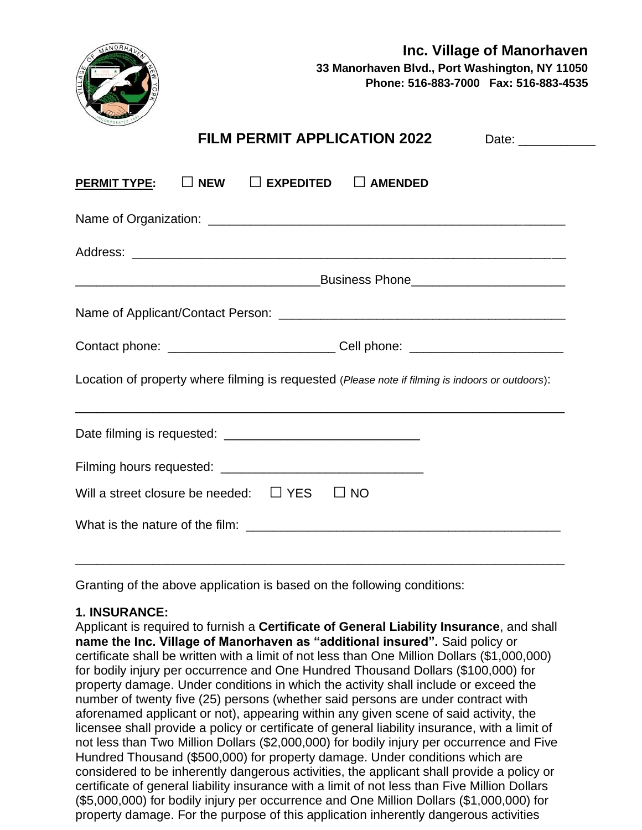

| <b>FILM PERMIT APPLICATION 2022</b>                                                              |
|--------------------------------------------------------------------------------------------------|
| $\overline{\text{PERMIT TYPE}}: \quad \Box$ New $\quad \Box$ Expedited $\quad \Box$ Amended      |
|                                                                                                  |
|                                                                                                  |
|                                                                                                  |
|                                                                                                  |
| Contact phone: _____________________________Cell phone: ________________________                 |
| Location of property where filming is requested (Please note if filming is indoors or outdoors): |
|                                                                                                  |
|                                                                                                  |
| Will a street closure be needed: $\quad \Box$ YES<br>$\square$ NO                                |
|                                                                                                  |
|                                                                                                  |

Granting of the above application is based on the following conditions:

#### **1. INSURANCE:**

Applicant is required to furnish a **Certificate of General Liability Insurance**, and shall **name the Inc. Village of Manorhaven as "additional insured".** Said policy or certificate shall be written with a limit of not less than One Million Dollars (\$1,000,000) for bodily injury per occurrence and One Hundred Thousand Dollars (\$100,000) for property damage. Under conditions in which the activity shall include or exceed the number of twenty five (25) persons (whether said persons are under contract with aforenamed applicant or not), appearing within any given scene of said activity, the licensee shall provide a policy or certificate of general liability insurance, with a limit of not less than Two Million Dollars (\$2,000,000) for bodily injury per occurrence and Five Hundred Thousand (\$500,000) for property damage. Under conditions which are considered to be inherently dangerous activities, the applicant shall provide a policy or certificate of general liability insurance with a limit of not less than Five Million Dollars (\$5,000,000) for bodily injury per occurrence and One Million Dollars (\$1,000,000) for property damage. For the purpose of this application inherently dangerous activities